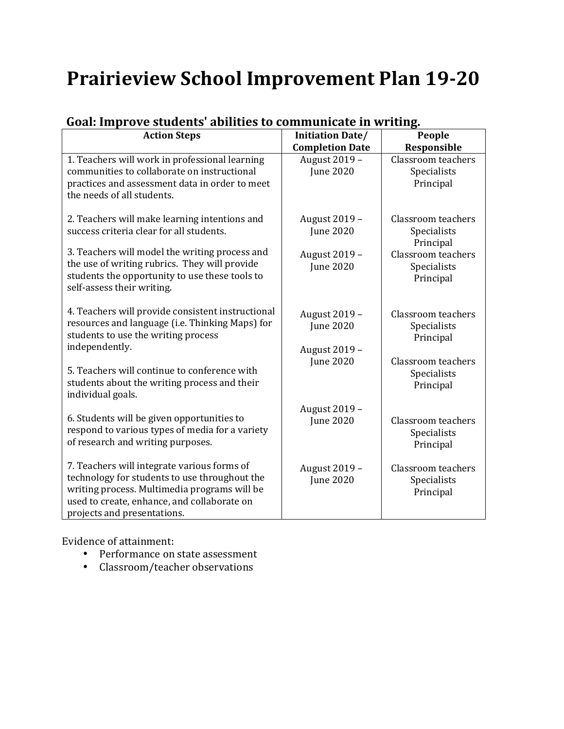# **Prairieview School Improvement Plan 19-20**

| <b>Action Steps</b>                                                                                                                                                                                                        | <b>Initiation Date/</b>                            | People                                                |
|----------------------------------------------------------------------------------------------------------------------------------------------------------------------------------------------------------------------------|----------------------------------------------------|-------------------------------------------------------|
|                                                                                                                                                                                                                            | <b>Completion Date</b>                             | Responsible                                           |
| 1. Teachers will work in professional learning<br>communities to collaborate on instructional<br>practices and assessment data in order to meet<br>the needs of all students.                                              | August 2019 -<br><b>June 2020</b>                  | Classroom teachers<br>Specialists<br>Principal        |
| 2. Teachers will make learning intentions and<br>success criteria clear for all students.                                                                                                                                  | August 2019 -<br><b>June 2020</b>                  | Classroom teachers<br>Specialists<br>Principal        |
| 3. Teachers will model the writing process and<br>the use of writing rubrics. They will provide<br>students the opportunity to use these tools to<br>self-assess their writing.                                            | August 2019 -<br><b>June 2020</b>                  | <b>Classroom</b> teachers<br>Specialists<br>Principal |
| 4. Teachers will provide consistent instructional<br>resources and language (i.e. Thinking Maps) for<br>students to use the writing process<br>independently.                                                              | August 2019 -<br><b>June 2020</b><br>August 2019 - | Classroom teachers<br>Specialists<br>Principal        |
| 5. Teachers will continue to conference with<br>students about the writing process and their<br>individual goals.                                                                                                          | <b>June 2020</b>                                   | Classroom teachers<br>Specialists<br>Principal        |
| 6. Students will be given opportunities to<br>respond to various types of media for a variety<br>of research and writing purposes.                                                                                         | August 2019 -<br><b>June 2020</b>                  | Classroom teachers<br>Specialists<br>Principal        |
| 7. Teachers will integrate various forms of<br>technology for students to use throughout the<br>writing process. Multimedia programs will be<br>used to create, enhance, and collaborate on<br>projects and presentations. | August 2019 -<br><b>June 2020</b>                  | Classroom teachers<br>Specialists<br>Principal        |

### Goal: Improve students' abilities to communicate in writing.

Evidence of attainment:

- Performance on state assessment
- Classroom/teacher observations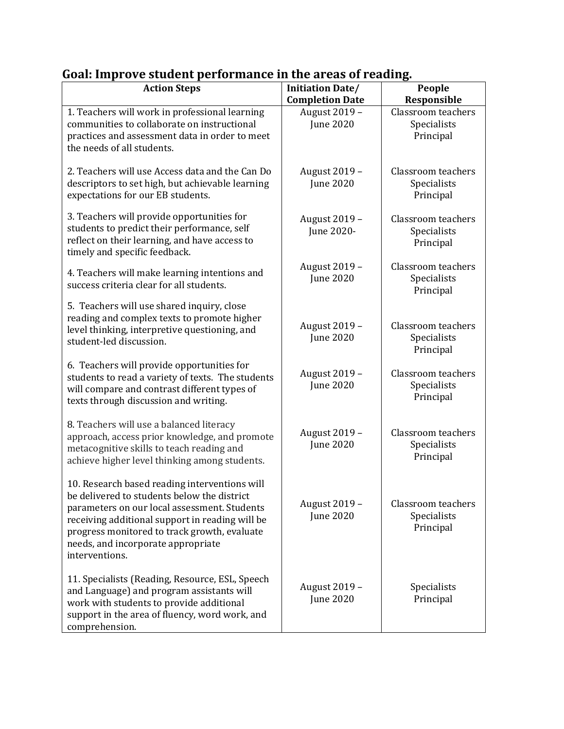| <b>Action Steps</b>                                                                                                                                                                                                                                                                                     | <b>Initiation Date/</b><br><b>Completion Date</b> | People<br><b>Responsible</b>                   |
|---------------------------------------------------------------------------------------------------------------------------------------------------------------------------------------------------------------------------------------------------------------------------------------------------------|---------------------------------------------------|------------------------------------------------|
| 1. Teachers will work in professional learning                                                                                                                                                                                                                                                          | August 2019 -                                     | Classroom teachers                             |
| communities to collaborate on instructional                                                                                                                                                                                                                                                             | <b>June 2020</b>                                  | Specialists                                    |
| practices and assessment data in order to meet                                                                                                                                                                                                                                                          |                                                   | Principal                                      |
| the needs of all students.                                                                                                                                                                                                                                                                              |                                                   |                                                |
| 2. Teachers will use Access data and the Can Do<br>descriptors to set high, but achievable learning<br>expectations for our EB students.                                                                                                                                                                | August 2019 -<br><b>June 2020</b>                 | Classroom teachers<br>Specialists<br>Principal |
| 3. Teachers will provide opportunities for<br>students to predict their performance, self<br>reflect on their learning, and have access to                                                                                                                                                              | August 2019 -<br>June 2020-                       | Classroom teachers<br>Specialists<br>Principal |
| timely and specific feedback.                                                                                                                                                                                                                                                                           |                                                   |                                                |
| 4. Teachers will make learning intentions and<br>success criteria clear for all students.                                                                                                                                                                                                               | August 2019 -<br><b>June 2020</b>                 | Classroom teachers<br>Specialists<br>Principal |
| 5. Teachers will use shared inquiry, close                                                                                                                                                                                                                                                              |                                                   |                                                |
| reading and complex texts to promote higher                                                                                                                                                                                                                                                             |                                                   | Classroom teachers                             |
| level thinking, interpretive questioning, and                                                                                                                                                                                                                                                           | August 2019 -<br><b>June 2020</b>                 | Specialists                                    |
| student-led discussion.                                                                                                                                                                                                                                                                                 |                                                   | Principal                                      |
| 6. Teachers will provide opportunities for<br>students to read a variety of texts. The students<br>will compare and contrast different types of<br>texts through discussion and writing.                                                                                                                | August 2019 -<br><b>June 2020</b>                 | Classroom teachers<br>Specialists<br>Principal |
|                                                                                                                                                                                                                                                                                                         |                                                   |                                                |
| 8. Teachers will use a balanced literacy<br>approach, access prior knowledge, and promote<br>metacognitive skills to teach reading and<br>achieve higher level thinking among students.                                                                                                                 | August 2019 -<br><b>June 2020</b>                 | Classroom teachers<br>Specialists<br>Principal |
| 10. Research based reading interventions will<br>be delivered to students below the district<br>parameters on our local assessment. Students<br>receiving additional support in reading will be<br>progress monitored to track growth, evaluate<br>needs, and incorporate appropriate<br>interventions. | August 2019 -<br><b>June 2020</b>                 | Classroom teachers<br>Specialists<br>Principal |
| 11. Specialists (Reading, Resource, ESL, Speech<br>and Language) and program assistants will<br>work with students to provide additional<br>support in the area of fluency, word work, and<br>comprehension.                                                                                            | August 2019 -<br><b>June 2020</b>                 | Specialists<br>Principal                       |

## Goal: Improve student performance in the areas of reading.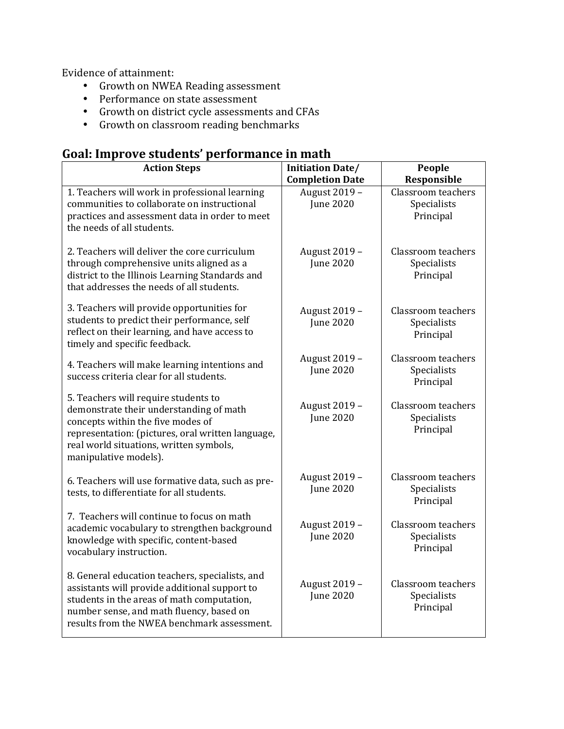Evidence of attainment:

- Growth on NWEA Reading assessment
- Performance on state assessment
- Growth on district cycle assessments and CFAs
- Growth on classroom reading benchmarks

## **Goal: Improve students' performance in math**

| <b>Action Steps</b>                                                                                                                                                                                                                           | <b>Initiation Date/</b>                 | People                                                |
|-----------------------------------------------------------------------------------------------------------------------------------------------------------------------------------------------------------------------------------------------|-----------------------------------------|-------------------------------------------------------|
| 1. Teachers will work in professional learning                                                                                                                                                                                                | <b>Completion Date</b><br>August 2019 - | Responsible<br><b>Classroom</b> teachers              |
| communities to collaborate on instructional<br>practices and assessment data in order to meet<br>the needs of all students.                                                                                                                   | <b>June 2020</b>                        | Specialists<br>Principal                              |
| 2. Teachers will deliver the core curriculum<br>through comprehensive units aligned as a<br>district to the Illinois Learning Standards and<br>that addresses the needs of all students.                                                      | August 2019 -<br><b>June 2020</b>       | <b>Classroom</b> teachers<br>Specialists<br>Principal |
| 3. Teachers will provide opportunities for<br>students to predict their performance, self<br>reflect on their learning, and have access to<br>timely and specific feedback.                                                                   | August 2019 -<br><b>June 2020</b>       | Classroom teachers<br>Specialists<br>Principal        |
| 4. Teachers will make learning intentions and<br>success criteria clear for all students.                                                                                                                                                     | August 2019 -<br><b>June 2020</b>       | <b>Classroom</b> teachers<br>Specialists<br>Principal |
| 5. Teachers will require students to<br>demonstrate their understanding of math<br>concepts within the five modes of<br>representation: (pictures, oral written language,<br>real world situations, written symbols,<br>manipulative models). | August 2019 -<br><b>June 2020</b>       | Classroom teachers<br>Specialists<br>Principal        |
| 6. Teachers will use formative data, such as pre-<br>tests, to differentiate for all students.                                                                                                                                                | August 2019 -<br><b>June 2020</b>       | <b>Classroom</b> teachers<br>Specialists<br>Principal |
| 7. Teachers will continue to focus on math<br>academic vocabulary to strengthen background<br>knowledge with specific, content-based<br>vocabulary instruction.                                                                               | August 2019 -<br><b>June 2020</b>       | <b>Classroom</b> teachers<br>Specialists<br>Principal |
| 8. General education teachers, specialists, and<br>assistants will provide additional support to<br>students in the areas of math computation,<br>number sense, and math fluency, based on<br>results from the NWEA benchmark assessment.     | August 2019 -<br><b>June 2020</b>       | <b>Classroom</b> teachers<br>Specialists<br>Principal |